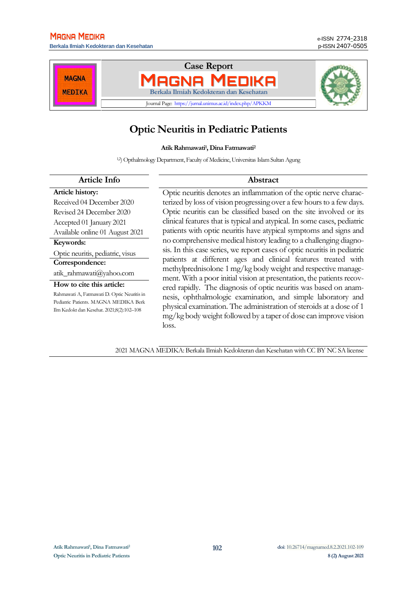**Berkala Ilmiah Kedokteran dan Kesehatan** p-ISSN 2407-0505



# **Optic Neuritis in Pediatric Patients**

#### **Atik Rahmawati<sup>1</sup> , Dina Fatmawati<sup>2</sup>**

12) Opthalmology Department, Faculty of Medicine, Universitas Islam Sultan Agung

# **Article Info Abstract**

**Article history:** Received 04 December 2020 Revised 24 December 2020 Accepted 01 January 2021 Available online 01 August 2021 **Keywords:**

Optic neuritis, pediatric, visus **Correspondence:**

[atik\\_rahmawati@yahoo.com](mailto:atik_rahmawati@yahoo.com)

#### **How to cite this article:**

Rahmawati A, Fatmawati D. Optic Neuritis in Pediatric Patients. MAGNA MEDIKA Berk Ilm Kedokt dan Kesehat. 2021;8(2):102–108

Optic neuritis denotes an inflammation of the optic nerve characterized by loss of vision progressing over a fewhours to a few days. Optic neuritis can be classified based on the site involved or its clinical features that is typical and atypical. In some cases, pediatric patients with optic neuritis have atypical symptoms and signs and no comprehensive medical history leading to a challenging diagnosis. In this case series, we report cases of optic neuritis in pediatric patients at different ages and clinical features treated with methylprednisolone 1 mg/kg body weight and respective management. With a poor initial vision at presentation, the patients recovered rapidly. The diagnosis of optic neuritis was based on anamnesis, ophthalmologic examination, and simple laboratory and physical examination. The administration of steroids at a dose of 1 mg/kg body weight followed by a taper of dose can improve vision loss.

2021 MAGNA MEDIKA: Berkala Ilmiah Kedokteran dan Kesehatan with CC BY NC SA license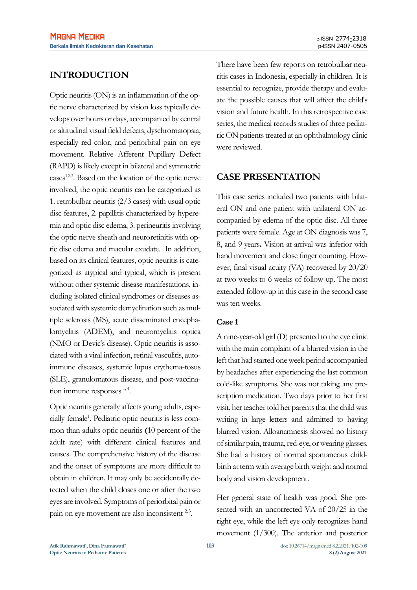# **INTRODUCTION**

Optic neuritis (ON) is an inflammation of the optic nerve characterized by vision loss typically develops over hours or days, accompanied by central or altitudinal visual field defects, dyschromatopsia, especially red color, and periorbital pain on eye movement. Relative Afferent Pupillary Defect (RAPD) is likely except in bilateral and symmetric  $cases$ <sup>1,2,3</sup>. Based on the location of the optic nerve involved, the optic neuritis can be categorized as 1. retrobulbar neuritis (2/3 cases) with usual optic disc features, 2. papillitis characterized by hyperemia and optic disc edema, 3. perineuritis involving the optic nerve sheath and neuroretinitis with optic disc edema and macular exudate. In addition, based on its clinical features, optic neuritis is categorized as atypical and typical, which is present without other systemic disease manifestations, including isolated clinical syndromes or diseases associated with systemic demyelination such as multiple sclerosis (MS), acute disseminated encephalomyelitis (ADEM), and neuromyelitis optica (NMO or Devic's disease). Optic neuritis is associated with a viral infection, retinal vasculitis, autoimmune diseases, systemic lupus erythema-tosus (SLE), granulomatous disease, and post-vaccination immune responses  $1, 4$ .

Optic neuritis generally affects young adults, especially female<sup>1</sup>. Pediatric optic neuritis is less common than adults optic neuritis **(**10 percent of the adult rate) with different clinical features and causes. The comprehensive history of the disease and the onset of symptoms are more difficult to obtain in children. It may only be accidentally detected when the child closes one or after the two eyes are involved. Symptoms of periorbital pain or pain on eye movement are also inconsistent <sup>2,3</sup>.

There have been few reports on retrobulbar neuritis cases in Indonesia, especially in children. It is essential to recognize, provide therapy and evaluate the possible causes that will affect the child's vision and future health. In this retrospective case series, the medical records studies of three pediatric ON patients treated at an ophthalmology clinic were reviewed.

# **CASE PRESENTATION**

This case series included two patients with bilateral ON and one patient with unilateral ON accompanied by edema of the optic disc. All three patients were female. Age at ON diagnosis was 7, 8, and 9 years**.** Vision at arrival was inferior with hand movement and close finger counting. However, final visual acuity (VA) recovered by 20/20 at two weeks to 6 weeks of follow-up. The most extended follow-up in this case in the second case was ten weeks.

## **Case 1**

A nine-year-old girl (D) presented to the eye clinic with the main complaint of a blurred vision in the left that had started one week period accompanied by headaches after experiencing the last common cold-like symptoms. She was not taking any prescription medication. Two days prior to her first visit, her teacher told her parents that the child was writing in large letters and admitted to having blurred vision. Alloanamnesis showed no history of similar pain, trauma, red-eye, or wearing glasses. She had a history of normal spontaneous childbirth at term with average birth weight and normal body and vision development.

Her general state of health was good. She presented with an uncorrected VA of 20/25 in the right eye, while the left eye only recognizes hand movement (1/300). The anterior and posterior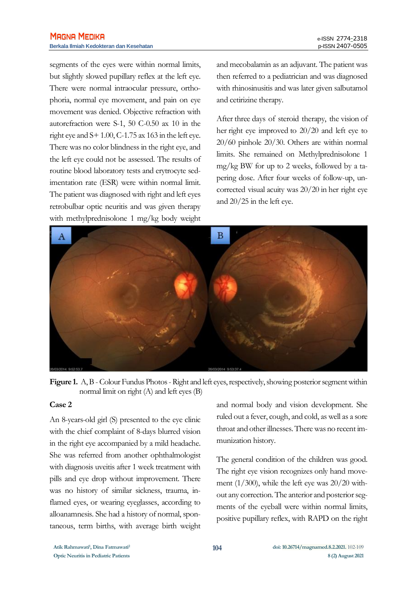segments of the eyes were within normal limits, but slightly slowed pupillary reflex at the left eye. There were normal intraocular pressure, orthophoria, normal eye movement, and pain on eye movement was denied. Objective refraction with autorefraction were S-1, 50 C-0.50 ax 10 in the right eye and  $S+1.00$ , C-1.75 ax 163 in the left eye. There was no color blindness in the right eye, and the left eye could not be assessed. The results of routine blood laboratory tests and erytrocyte sedimentation rate (ESR) were within normal limit. The patient was diagnosed with right and left eyes retrobulbar optic neuritis and was given therapy with methylprednisolone 1 mg/kg body weight

and mecobalamin as an adjuvant. The patient was then referred to a pediatrician and was diagnosed with rhinosinusitis and was later given salbutamol and cetirizine therapy.

After three days of steroid therapy, the vision of her right eye improved to 20/20 and left eye to 20/60 pinhole 20/30. Others are within normal limits. She remained on Methylprednisolone 1 mg/kg BW for up to 2 weeks, followed by a tapering dose. After four weeks of follow-up, uncorrected visual acuity was 20/20 in her right eye and 20/25 in the left eye.



Figure 1. A, B - Colour Fundus Photos - Right and left eyes, respectively, showing posterior segment within normal limit on right  $(A)$  and left eyes  $(B)$ 

#### **Case 2**

An 8-years-old girl (S) presented to the eye clinic with the chief complaint of 8-days blurred vision in the right eye accompanied by a mild headache. She was referred from another ophthalmologist with diagnosis uveitis after 1 week treatment with pills and eye drop without improvement. There was no history of similar sickness, trauma, inflamed eyes, or wearing eyeglasses, according to alloanamnesis. She had a history of normal, spontaneous, term births, with average birth weight

and normal body and vision development. She ruled out a fever, cough, and cold, as well as a sore throat and other illnesses. There was no recent immunization history.

The general condition of the children was good. The right eye vision recognizes only hand movement (1/300), while the left eye was 20/20 without any correction. The anterior and posterior segments of the eyeball were within normal limits, positive pupillary reflex, with RAPD on the right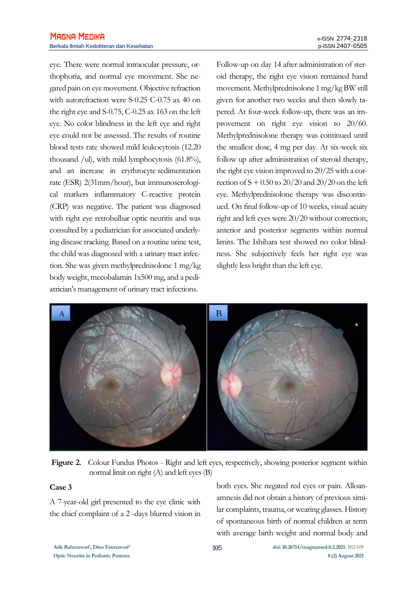eye. There were normal intraocular pressure, orthophoria, and normal eye movement. She negated pain on eye movement. Objective refraction with autorefraction were S-0.25 C-0.75 ax 40 on the right eye and S-0.75, C-0.25 ax 163 on the left eye. No color blindness in the left eye and right eye could not be assessed. The results of routine blood tests rate showed mild leukocytosis (12.20 thousand /ul), with mild lymphocytosis (61.8%), and an increase in erythrocyte sedimentation rate (ESR) 2(31mm/hour), but immunoserological markers inflammatory C-reactive protein (CRP) was negative. The patient was diagnosed with right eye retrobulbar optic neuritis and was consulted by a pediatrician for associated underlying disease tracking. Based on a routine urine test, the child was diagnosed with a urinary tract infection. She was given methylprednisolone 1 mg/kg body weight, mecobalamin 1x500 mg, and a pediatrician's management of urinary tract infections.

Follow-up on day 14 after administration of steroid therapy, the right eye vision remained hand movement. Methylprednisolone 1 mg/kg BW still given for another two weeks and then slowly tapered. At four-week follow-up, there was an improvement on right eye vision to 20/60. Methylprednisolone therapy was continued until the smallest dose, 4 mg per day. At six-week six follow up after administration of steroid therapy, the right eye vision improved to 20/25 with a correction of  $S + 0.50$  to 20/20 and 20/20 on the left eye. Methylprednisolone therapy was discontinued. On final follow-up of 10 weeks, visual acuity right and left eyes were 20/20 without correction, anterior and posterior segments within normal limits. The Ishihara test showed no color blindness. She subjectively feels her right eye was slightly less bright than the left eye.



**Figure 2.** Colour Fundus Photos - Right and left eyes, respectively, showing posterior segment within normal limit on right (A) and left eyes (B)

#### **Case 3**

A 7-year-old girl presented to the eye clinic with the chief complaint of a 2 -days blurred vision in

both eyes. She negated red eyes or pain. Alloanamnesis did not obtain a history of previous similar complaints, trauma, or wearing glasses. History of spontaneous birth of normal children at term with average birth weight and normal body and

**Atik Rahmawati<sup>1</sup>**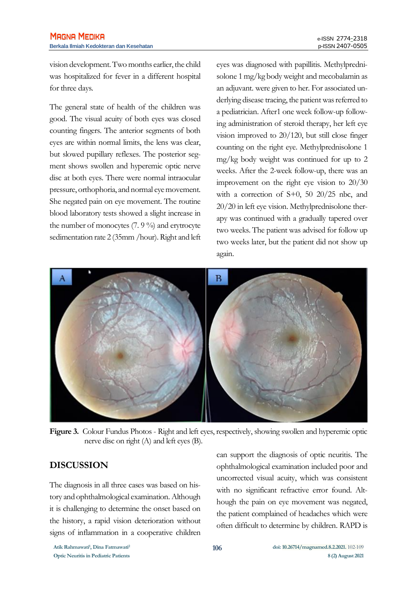vision development. Two months earlier, the child was hospitalized for fever in a different hospital for three days.

The general state of health of the children was good. The visual acuity of both eyes was closed counting fingers. The anterior segments of both eyes are within normal limits, the lens was clear, but slowed pupillary reflexes. The posterior segment shows swollen and hyperemic optic nerve disc at both eyes. There were normal intraocular pressure, orthophoria, and normal eye movement. She negated pain on eye movement. The routine blood laboratory tests showed a slight increase in the number of monocytes (7. 9 %) and erytrocyte sedimentation rate 2 (35mm /hour). Right and left eyes was diagnosed with papillitis. Methylprednisolone 1 mg/kg body weight and mecobalamin as an adjuvant. were given to her. For associated underlying disease tracing, the patient was referred to a pediatrician. After1 one week follow-up following administration of steroid therapy, her left eye vision improved to 20/120, but still close finger counting on the right eye. Methylprednisolone 1 mg/kg body weight was continued for up to 2 weeks. After the 2-week follow-up, there was an improvement on the right eye vision to 20/30 with a correction of S+0, 50 20/25 nbc, and 20/20 in left eye vision. Methylprednisolone therapy was continued with a gradually tapered over two weeks. The patient was advised for follow up two weeks later, but the patient did not show up again.



Figure 3. Colour Fundus Photos - Right and left eyes, respectively, showing swollen and hyperemic optic nerve disc on right (A) and left eyes (B).

# **DISCUSSION**

The diagnosis in all three cases was based on history and ophthalmological examination. Although it is challenging to determine the onset based on the history, a rapid vision deterioration without signs of inflammation in a cooperative children

can support the diagnosis of optic neuritis. The ophthalmological examination included poor and uncorrected visual acuity, which was consistent with no significant refractive error found. Although the pain on eye movement was negated, the patient complained of headaches which were often difficult to determine by children. RAPD is

**Atik Rahmawati<sup>1</sup> , Dina Fatmawati<sup>2</sup>**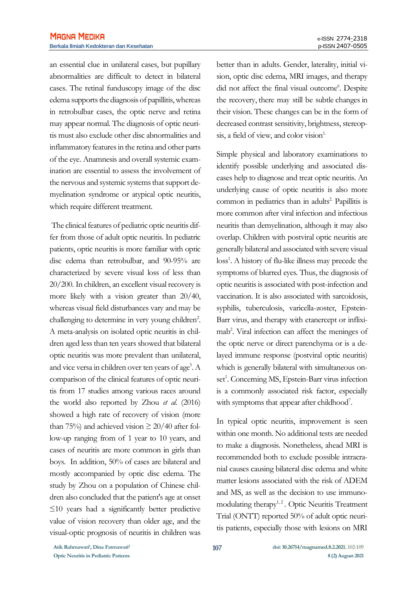an essential clue in unilateral cases, but pupillary abnormalities are difficult to detect in bilateral cases. The retinal funduscopy image of the disc edema supports the diagnosis of papillitis, whereas in retrobulbar cases, the optic nerve and retina may appear normal. The diagnosis of optic neuritis must also exclude other disc abnormalities and inflammatory features in the retina and other parts of the eye. Anamnesis and overall systemic examination are essential to assess the involvement of the nervous and systemic systems that support demyelination syndrome or atypical optic neuritis, which require different treatment.

The clinical features of pediatric optic neuritis differ from those of adult optic neuritis. In pediatric patients, optic neuritis is more familiar with optic disc edema than retrobulbar, and 90-95% are characterized by severe visual loss of less than 20/200. In children, an excellent visual recovery is more likely with a vision greater than 20/40, whereas visual field disturbances vary and may be challenging to determine in very young children<sup>2</sup>. A meta-analysis on isolated optic neuritis in children aged less than ten years showed that bilateral optic neuritis was more prevalent than unilateral, and vice versa in children over ten years of age<sup>5</sup>. A comparison of the clinical features of optic neuritis from 17 studies among various races around the world also reported by Zhou *et al.* (2016) showed a high rate of recovery of vision (more than 75%) and achieved vision  $\geq 20/40$  after follow-up ranging from of 1 year to 10 years, and cases of neuritis are more common in girls than boys. In addition, 50% of cases are bilateral and mostly accompanied by optic disc edema. The study by Zhou on a population of Chinese children also concluded that the patient's age at onset ≤10 years had a significantly better predictive value of vision recovery than older age, and the visual-optic prognosis of neuritis in children was

better than in adults. Gender, laterality, initial vision, optic disc edema, MRI images, and therapy did not affect the final visual outcome<sup>6</sup>. Despite the recovery, there may still be subtle changes in their vision. These changes can be in the form of decreased contrast sensitivity, brightness, stereopsis, a field of view, and color vision $1$ .

Simple physical and laboratory examinations to identify possible underlying and associated diseases help to diagnose and treat optic neuritis. An underlying cause of optic neuritis is also more common in pediatrics than in adults<sup>2</sup> Papillitis is more common after viral infection and infectious neuritis than demyelination, although it may also overlap. Children with postviral optic neuritis are generally bilateral and associated with severe visual loss<sup>1</sup>. A history of flu-like illness may precede the symptoms of blurred eyes. Thus, the diagnosis of optic neuritis is associated with post-infection and vaccination. It is also associated with sarcoidosis, syphilis, tuberculosis, varicella-zoster, Epstein-Barr virus, and therapy with etanercept or infliximab<sup>2</sup>. Viral infection can affect the meninges of the optic nerve or direct parenchyma or is a delayed immune response (postviral optic neuritis) which is generally bilateral with simultaneous onset<sup>1</sup>. Concerning MS, Epstein-Barr virus infection is a commonly associated risk factor, especially with symptoms that appear after childhood<sup>7</sup>.

In typical optic neuritis, improvement is seen within one month. No additional tests are needed to make a diagnosis. Nonetheless, ahead MRI is recommended both to exclude possible intracranial causes causing bilateral disc edema and white matter lesions associated with the risk of ADEM and MS, as well as the decision to use immunomodulating therapy<sup>1,2</sup>. Optic Neuritis Treatment Trial (ONTT) reported 50% of adult optic neuritis patients, especially those with lesions on MRI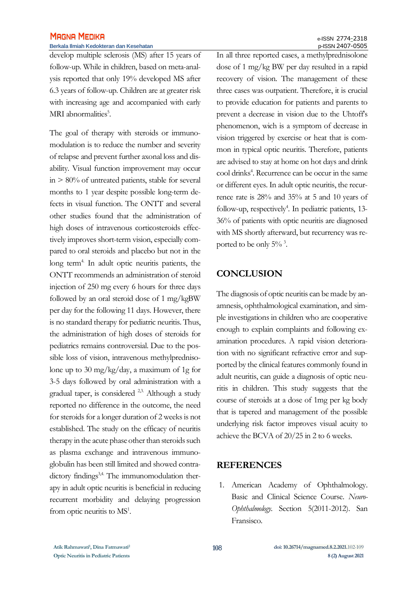# **MAGNA MEDIKA**

#### **Berkala Ilmiah Kedokteran dan Kesehatan** p-ISSN 2407-0505

develop multiple sclerosis (MS) after 15 years of follow-up. While in children, based on meta-analysis reported that only 19% developed MS after 6.3 years of follow-up. Children are at greater risk with increasing age and accompanied with early MRI abnormalities<sup>5</sup>.

The goal of therapy with steroids or immunomodulation is to reduce the number and severity of relapse and prevent further axonal loss and disability. Visual function improvement may occur in > 80% of untreated patients, stable for several months to 1 year despite possible long-term defects in visual function. The ONTT and several other studies found that the administration of high doses of intravenous corticosteroids effectively improves short-term vision, especially compared to oral steroids and placebo but not in the long term<sup>4</sup>. In adult optic neuritis patients, the ONTT recommends an administration of steroid injection of 250 mg every 6 hours for three days followed by an oral steroid dose of 1 mg/kgBW per day for the following 11 days. However, there is no standard therapy for pediatric neuritis. Thus, the administration of high doses of steroids for pediatrics remains controversial. Due to the possible loss of vision, intravenous methylprednisolone up to 30 mg/kg/day, a maximum of 1g for 3-5 days followed by oral administration with a gradual taper, is considered <sup>2,3.</sup> Although a study reported no difference in the outcome, the need for steroids for a longer duration of 2 weeks is not established. The study on the efficacy of neuritis therapy in the acute phase other than steroids such as plasma exchange and intravenous immunoglobulin has been still limited and showed contradictory findings<sup>3,4.</sup> The immunomodulation therapy in adult optic neuritis is beneficial in reducing recurrent morbidity and delaying progression from optic neuritis to  $MS<sup>1</sup>$ .

In all three reported cases, a methylprednisolone dose of 1 mg/kg BW per day resulted in a rapid recovery of vision. The management of these three cases was outpatient. Therefore, it is crucial to provide education for patients and parents to prevent a decrease in vision due to the Uhtoff's phenomenon, wich is a symptom of decrease in vision triggered by exercise or heat that is common in typical optic neuritis. Therefore, patients are advised to stay at home on hot days and drink cool drinks<sup>4</sup>. Recurrence can be occur in the same or different eyes. In adult optic neuritis, the recurrence rate is 28% and 35% at 5 and 10 years of follow-up, respectively<sup>4</sup>. In pediatric patients, 13-36% of patients with optic neuritis are diagnosed with MS shortly afterward, but recurrency was reported to be only  $5\%$ <sup>3</sup>.

# **CONCLUSION**

The diagnosis of optic neuritis can be made by anamnesis, ophthalmological examination, and simple investigations in children who are cooperative enough to explain complaints and following examination procedures. A rapid vision deterioration with no significant refractive error and supported by the clinical features commonly found in adult neuritis, can guide a diagnosis of optic neuritis in children. This study suggests that the course of steroids at a dose of 1mg per kg body that is tapered and management of the possible underlying risk factor improves visual acuity to achieve the BCVA of 20/25 in 2 to 6 weeks.

### **REFERENCES**

1. American Academy of Ophthalmology. Basic and Clinical Science Course. *Neuro-Ophthalmology*. Section 5(2011-2012). San Fransisco.